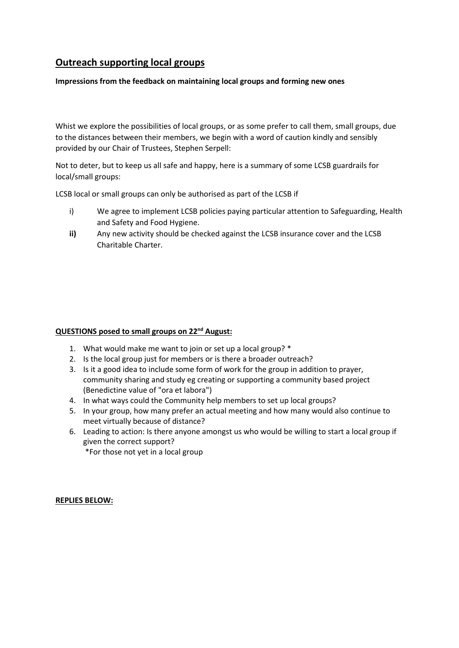# **Outreach supporting local groups**

### **Impressions from the feedback on maintaining local groups and forming new ones**

Whist we explore the possibilities of local groups, or as some prefer to call them, small groups, due to the distances between their members, we begin with a word of caution kindly and sensibly provided by our Chair of Trustees, Stephen Serpell:

Not to deter, but to keep us all safe and happy, here is a summary of some LCSB guardrails for local/small groups:

LCSB local or small groups can only be authorised as part of the LCSB if

- i) We agree to implement LCSB policies paying particular attention to Safeguarding, Health and Safety and Food Hygiene.
- **ii)** Any new activity should be checked against the LCSB insurance cover and the LCSB Charitable Charter.

### **QUESTIONS posed to small groups on 22nd August:**

- 1. What would make me want to join or set up a local group? \*
- 2. Is the local group just for members or is there a broader outreach?
- 3. Is it a good idea to include some form of work for the group in addition to prayer, community sharing and study eg creating or supporting a community based project (Benedictine value of "ora et labora")
- 4. In what ways could the Community help members to set up local groups?
- 5. In your group, how many prefer an actual meeting and how many would also continue to meet virtually because of distance?
- 6. Leading to action: Is there anyone amongst us who would be willing to start a local group if given the correct support?

\*For those not yet in a local group

**REPLIES BELOW:**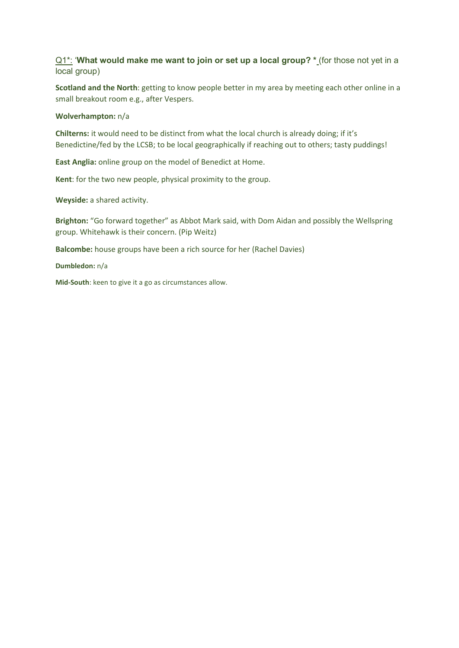## Q1<sup>\*</sup>: 'What would make me want to join or set up a local group? \* (for those not yet in a local group)

**Scotland and the North**: getting to know people better in my area by meeting each other online in a small breakout room e.g., after Vespers.

#### **Wolverhampton:** n/a

**Chilterns:** it would need to be distinct from what the local church is already doing; if it's Benedictine/fed by the LCSB; to be local geographically if reaching out to others; tasty puddings!

**East Anglia:** online group on the model of Benedict at Home.

**Kent**: for the two new people, physical proximity to the group.

**Weyside:** a shared activity.

**Brighton:** "Go forward together" as Abbot Mark said, with Dom Aidan and possibly the Wellspring group. Whitehawk is their concern. (Pip Weitz)

**Balcombe:** house groups have been a rich source for her (Rachel Davies)

**Dumbledon:** n/a

**Mid-South**: keen to give it a go as circumstances allow.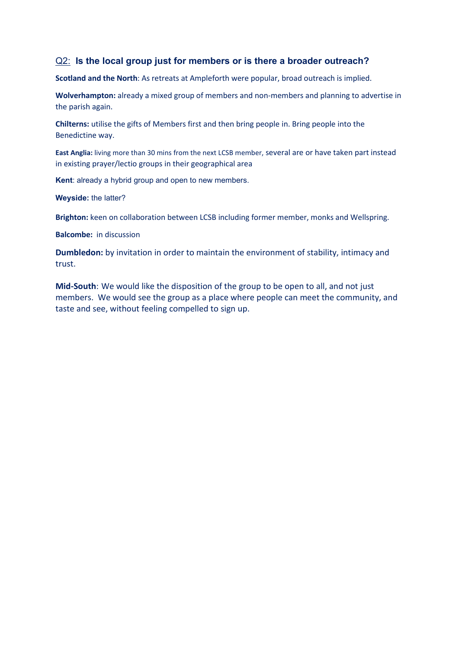# Q2: **Is the local group just for members or is there a broader outreach?**

**Scotland and the North**: As retreats at Ampleforth were popular, broad outreach is implied.

**Wolverhampton:** already a mixed group of members and non-members and planning to advertise in the parish again.

**Chilterns:** utilise the gifts of Members first and then bring people in. Bring people into the Benedictine way.

**East Anglia:** living more than 30 mins from the next LCSB member, several are or have taken part instead in existing prayer/lectio groups in their geographical area

**Kent**: already a hybrid group and open to new members.

**Weyside:** the latter?

**Brighton:** keen on collaboration between LCSB including former member, monks and Wellspring.

**Balcombe:** in discussion

**Dumbledon:** by invitation in order to maintain the environment of stability, intimacy and trust.

**Mid-South**: We would like the disposition of the group to be open to all, and not just members. We would see the group as a place where people can meet the community, and taste and see, without feeling compelled to sign up.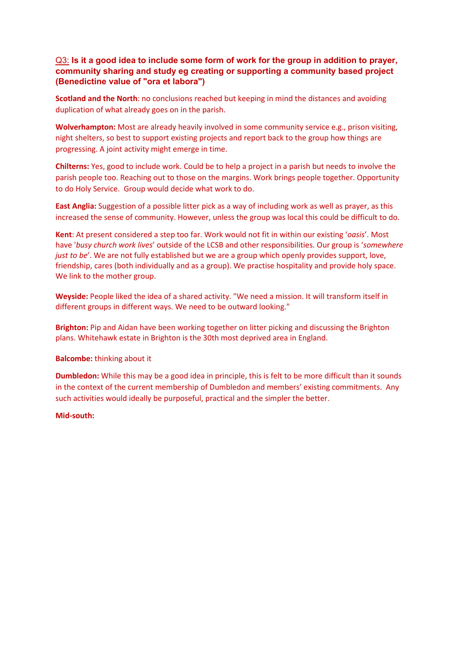## Q3: **Is it a good idea to include some form of work for the group in addition to prayer, community sharing and study eg creating or supporting a community based project (Benedictine value of "ora et labora")**

**Scotland and the North**: no conclusions reached but keeping in mind the distances and avoiding duplication of what already goes on in the parish.

**Wolverhampton:** Most are already heavily involved in some community service e.g., prison visiting, night shelters, so best to support existing projects and report back to the group how things are progressing. A joint activity might emerge in time.

**Chilterns:** Yes, good to include work. Could be to help a project in a parish but needs to involve the parish people too. Reaching out to those on the margins. Work brings people together. Opportunity to do Holy Service. Group would decide what work to do.

**East Anglia:** Suggestion of a possible litter pick as a way of including work as well as prayer, as this increased the sense of community. However, unless the group was local this could be difficult to do.

**Kent**: At present considered a step too far. Work would not fit in within our existing '*oasis*'. Most have '*busy church work lives*' outside of the LCSB and other responsibilities. Our group is '*somewhere just to be*'. We are not fully established but we are a group which openly provides support, love, friendship, cares (both individually and as a group). We practise hospitality and provide holy space. We link to the mother group.

**Weyside:** People liked the idea of a shared activity. "We need a mission. It will transform itself in different groups in different ways. We need to be outward looking."

**Brighton:** Pip and Aidan have been working together on litter picking and discussing the Brighton plans. Whitehawk estate in Brighton is the 30th most deprived area in England.

### **Balcombe:** thinking about it

**Dumbledon:** While this may be a good idea in principle, this is felt to be more difficult than it sounds in the context of the current membership of Dumbledon and members' existing commitments. Any such activities would ideally be purposeful, practical and the simpler the better.

#### **Mid-south:**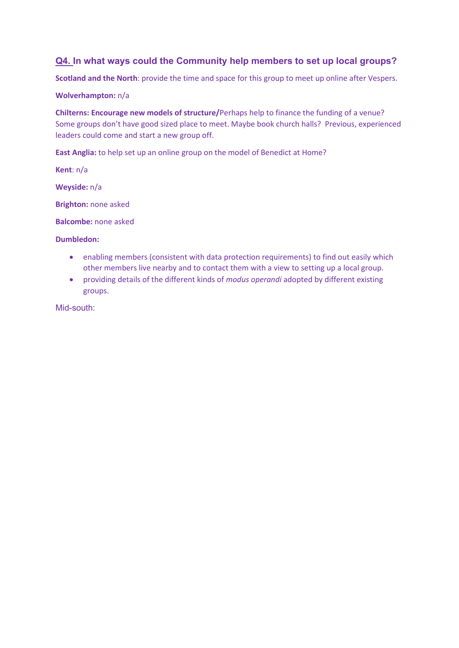# **Q4. In what ways could the Community help members to set up local groups?**

**Scotland and the North**: provide the time and space for this group to meet up online after Vespers.

### **Wolverhampton:** n/a

**Chilterns: Encourage new models of structure/**Perhaps help to finance the funding of a venue? Some groups don't have good sized place to meet. Maybe book church halls? Previous, experienced leaders could come and start a new group off.

**East Anglia:** to help set up an online group on the model of Benedict at Home?

**Kent**: n/a

**Weyside:** n/a

**Brighton:** none asked

**Balcombe:** none asked

#### **Dumbledon:**

- enabling members (consistent with data protection requirements) to find out easily which other members live nearby and to contact them with a view to setting up a local group.
- providing details of the different kinds of *modus operandi* adopted by different existing groups.

Mid-south: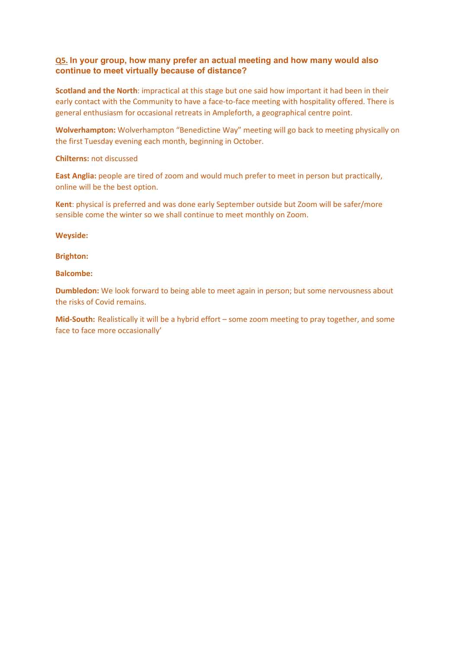### **Q5. In your group, how many prefer an actual meeting and how many would also continue to meet virtually because of distance?**

**Scotland and the North**: impractical at this stage but one said how important it had been in their early contact with the Community to have a face-to-face meeting with hospitality offered. There is general enthusiasm for occasional retreats in Ampleforth, a geographical centre point.

**Wolverhampton:** Wolverhampton "Benedictine Way" meeting will go back to meeting physically on the first Tuesday evening each month, beginning in October.

**Chilterns:** not discussed

**East Anglia:** people are tired of zoom and would much prefer to meet in person but practically, online will be the best option.

**Kent**: physical is preferred and was done early September outside but Zoom will be safer/more sensible come the winter so we shall continue to meet monthly on Zoom.

**Weyside:** 

**Brighton:** 

**Balcombe:**

**Dumbledon:** We look forward to being able to meet again in person; but some nervousness about the risks of Covid remains.

**Mid-South:** Realistically it will be a hybrid effort – some zoom meeting to pray together, and some face to face more occasionally'